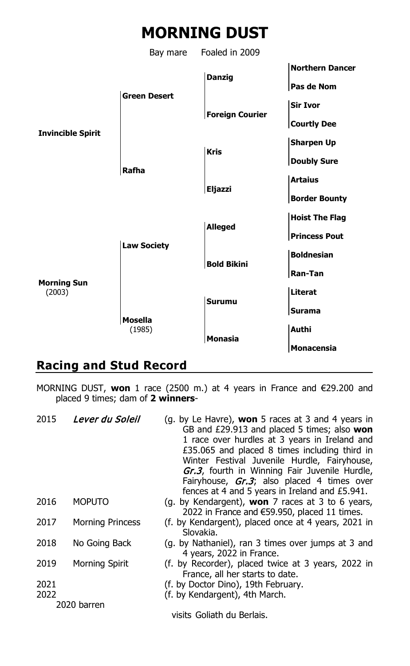# **MORNING DUST**

Bay mare Foaled in 2009



## **Racing and Stud Record**

MORNING DUST, **won** 1 race (2500 m.) at 4 years in France and €29.200 and placed 9 times; dam of **2 winners**-

| 2015 | Lever du Soleil         | (g. by Le Havre), <b>won</b> 5 races at 3 and 4 years in<br>GB and £29.913 and placed 5 times; also won<br>1 race over hurdles at 3 years in Ireland and<br>£35.065 and placed 8 times including third in<br>Winter Festival Juvenile Hurdle, Fairyhouse,<br>Gr.3, fourth in Winning Fair Juvenile Hurdle,<br>Fairyhouse, <i>Gr.3</i> ; also placed 4 times over<br>fences at 4 and 5 years in Ireland and £5.941. |
|------|-------------------------|--------------------------------------------------------------------------------------------------------------------------------------------------------------------------------------------------------------------------------------------------------------------------------------------------------------------------------------------------------------------------------------------------------------------|
| 2016 | <b>MOPUTO</b>           | (g. by Kendargent), won $7$ races at $3$ to 6 years,<br>2022 in France and $€59.950$ , placed 11 times.                                                                                                                                                                                                                                                                                                            |
| 2017 | <b>Morning Princess</b> | (f. by Kendargent), placed once at 4 years, 2021 in<br>Slovakia.                                                                                                                                                                                                                                                                                                                                                   |
| 2018 | No Going Back           | (g. by Nathaniel), ran 3 times over jumps at 3 and<br>4 years, 2022 in France.                                                                                                                                                                                                                                                                                                                                     |
| 2019 | Morning Spirit          | (f. by Recorder), placed twice at 3 years, 2022 in<br>France, all her starts to date.                                                                                                                                                                                                                                                                                                                              |
| 2021 |                         | (f. by Doctor Dino), 19th February.                                                                                                                                                                                                                                                                                                                                                                                |
| 2022 |                         | (f. by Kendargent), 4th March.                                                                                                                                                                                                                                                                                                                                                                                     |
|      | 2020 barren             |                                                                                                                                                                                                                                                                                                                                                                                                                    |
|      |                         | visits Goliath du Berlais.                                                                                                                                                                                                                                                                                                                                                                                         |